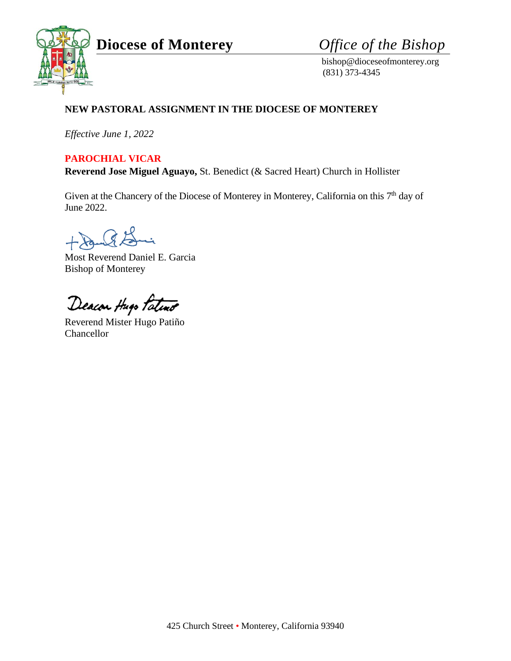**Diocese of Monterey** *Office of the Bishop*



 bishop@dioceseofmonterey.org (831) 373-4345

## **NEW PASTORAL ASSIGNMENT IN THE DIOCESE OF MONTEREY**

*Effective June 1, 2022*

### **PAROCHIAL VICAR**

**Reverend Jose Miguel Aguayo,** St. Benedict (& Sacred Heart) Church in Hollister

Given at the Chancery of the Diocese of Monterey in Monterey, California on this 7<sup>th</sup> day of June 2022.

 $G E$ 

Most Reverend Daniel E. Garcia Bishop of Monterey

Deacon thepo Patent

Reverend Mister Hugo Patiño Chancellor